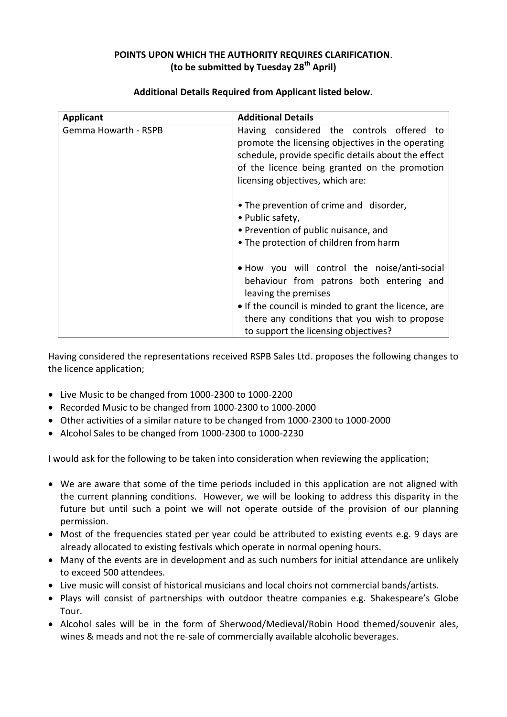## **POINTS UPON WHICH THE AUTHORITY REQUIRES CLARIFICATION**. **(to be submitted by Tuesday 28th April)**

| <b>Applicant</b>            | <b>Additional Details</b>                                                                                                                                                                                                                                         |
|-----------------------------|-------------------------------------------------------------------------------------------------------------------------------------------------------------------------------------------------------------------------------------------------------------------|
| <b>Gemma Howarth - RSPB</b> | Having considered the controls offered to<br>promote the licensing objectives in the operating<br>schedule, provide specific details about the effect<br>of the licence being granted on the promotion<br>licensing objectives, which are:                        |
|                             | • The prevention of crime and disorder,<br>• Public safety,<br>• Prevention of public nuisance, and<br>• The protection of children from harm                                                                                                                     |
|                             | • How you will control the noise/anti-social<br>behaviour from patrons both entering and<br>leaving the premises<br>• If the council is minded to grant the licence, are<br>there any conditions that you wish to propose<br>to support the licensing objectives? |

## **Additional Details Required from Applicant listed below.**

Having considered the representations received RSPB Sales Ltd. proposes the following changes to the licence application;

- Live Music to be changed from 1000-2300 to 1000-2200
- Recorded Music to be changed from 1000-2300 to 1000-2000
- Other activities of a similar nature to be changed from 1000-2300 to 1000-2000
- Alcohol Sales to be changed from 1000-2300 to 1000-2230

I would ask for the following to be taken into consideration when reviewing the application;

- We are aware that some of the time periods included in this application are not aligned with the current planning conditions. However, we will be looking to address this disparity in the future but until such a point we will not operate outside of the provision of our planning permission.
- Most of the frequencies stated per year could be attributed to existing events e.g. 9 days are already allocated to existing festivals which operate in normal opening hours.
- Many of the events are in development and as such numbers for initial attendance are unlikely to exceed 500 attendees.
- Live music will consist of historical musicians and local choirs not commercial bands/artists.
- Plays will consist of partnerships with outdoor theatre companies e.g. Shakespeare's Globe Tour.
- Alcohol sales will be in the form of Sherwood/Medieval/Robin Hood themed/souvenir ales, wines & meads and not the re-sale of commercially available alcoholic beverages.